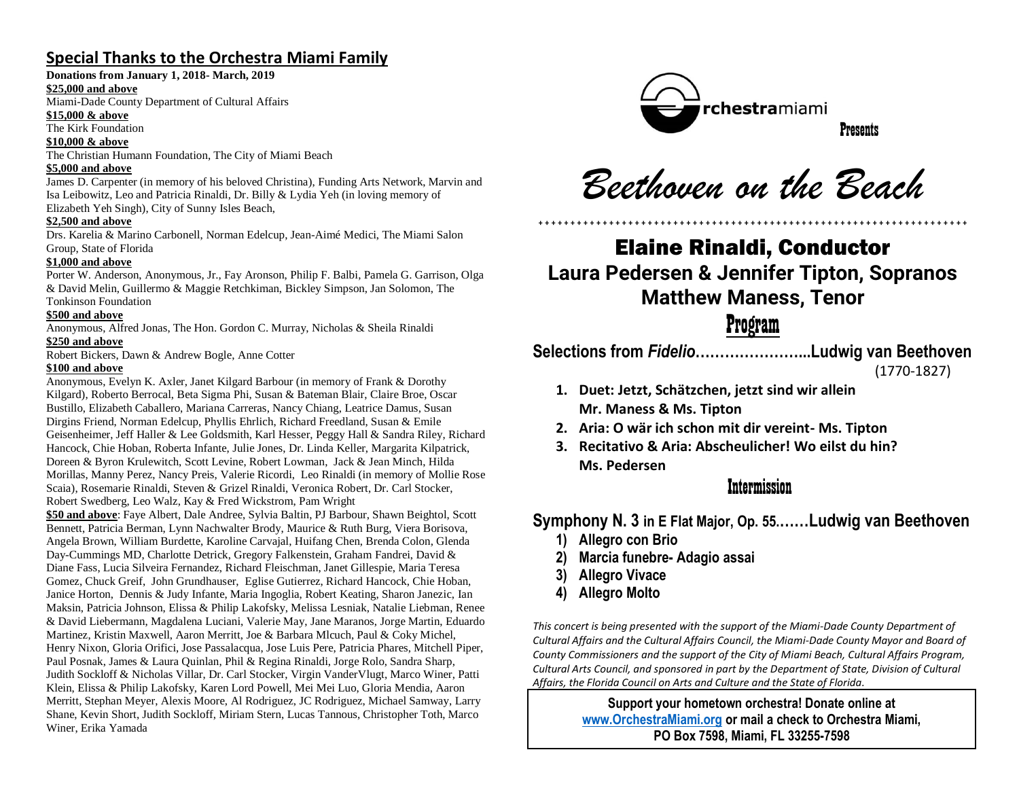# **Special Thanks to the Orchestra Miami Family**

#### **Donations from January 1, 2018- March, 2019**

#### **\$25,000 and above**

Miami-Dade County Department of Cultural Affairs

### **\$15,000 & above**

The Kirk Foundation

#### **\$10,000 & above**

The Christian Humann Foundation, The City of Miami Beach

#### **\$5,000 and above**

James D. Carpenter (in memory of his beloved Christina), Funding Arts Network, Marvin and Isa Leibowitz, Leo and Patricia Rinaldi, Dr. Billy & Lydia Yeh (in loving memory of Elizabeth Yeh Singh), City of Sunny Isles Beach,

#### **\$2,500 and above**

Drs. Karelia & Marino Carbonell, Norman Edelcup, Jean-Aimé Medici, The Miami Salon Group, State of Florida

#### **\$1,000 and above**

Porter W. Anderson, Anonymous, Jr., Fay Aronson, Philip F. Balbi, Pamela G. Garrison, Olga & David Melin, Guillermo & Maggie Retchkiman, Bickley Simpson, Jan Solomon, The Tonkinson Foundation

#### **\$500 and above**

Anonymous, Alfred Jonas, The Hon. Gordon C. Murray, Nicholas & Sheila Rinaldi **\$250 and above**

Robert Bickers, Dawn & Andrew Bogle, Anne Cotter

#### **\$100 and above**

Anonymous, Evelyn K. Axler, Janet Kilgard Barbour (in memory of Frank & Dorothy Kilgard), Roberto Berrocal, Beta Sigma Phi, Susan & Bateman Blair, Claire Broe, Oscar Bustillo, Elizabeth Caballero, Mariana Carreras, Nancy Chiang, Leatrice Damus, Susan Dirgins Friend, Norman Edelcup, Phyllis Ehrlich, Richard Freedland, Susan & Emile Geisenheimer, Jeff Haller & Lee Goldsmith, Karl Hesser, Peggy Hall & Sandra Riley, Richard Hancock, Chie Hoban, Roberta Infante, Julie Jones, Dr. Linda Keller, Margarita Kilpatrick, Doreen & Byron Krulewitch, Scott Levine, Robert Lowman, Jack & Jean Minch, Hilda Morillas, Manny Perez, Nancy Preis, Valerie Ricordi, Leo Rinaldi (in memory of Mollie Rose Scaia), Rosemarie Rinaldi, Steven & Grizel Rinaldi, Veronica Robert, Dr. Carl Stocker, Robert Swedberg, Leo Walz, Kay & Fred Wickstrom, Pam Wright

**\$50 and above**: Faye Albert, Dale Andree, Sylvia Baltin, PJ Barbour, Shawn Beightol, Scott Bennett, Patricia Berman, Lynn Nachwalter Brody, Maurice & Ruth Burg, Viera Borisova, Angela Brown, William Burdette, Karoline Carvajal, Huifang Chen, Brenda Colon, Glenda Day-Cummings MD, Charlotte Detrick, Gregory Falkenstein, Graham Fandrei, David & Diane Fass, Lucia Silveira Fernandez, Richard Fleischman, Janet Gillespie, Maria Teresa Gomez, Chuck Greif, John Grundhauser, Eglise Gutierrez, Richard Hancock, Chie Hoban, Janice Horton, Dennis & Judy Infante, Maria Ingoglia, Robert Keating, Sharon Janezic, Ian Maksin, Patricia Johnson, Elissa & Philip Lakofsky, Melissa Lesniak, Natalie Liebman, Renee & David Liebermann, Magdalena Luciani, Valerie May, Jane Maranos, Jorge Martin, Eduardo Martinez, Kristin Maxwell, Aaron Merritt, Joe & Barbara Mlcuch, Paul & Coky Michel, Henry Nixon, Gloria Orifici, Jose Passalacqua, Jose Luis Pere, Patricia Phares, Mitchell Piper, Paul Posnak, James & Laura Quinlan, Phil & Regina Rinaldi, Jorge Rolo, Sandra Sharp, Judith Sockloff & Nicholas Villar, Dr. Carl Stocker, Virgin VanderVlugt, Marco Winer, Patti Klein, Elissa & Philip Lakofsky, Karen Lord Powell, Mei Mei Luo, Gloria Mendia, Aaron Merritt, Stephan Meyer, Alexis Moore, Al Rodriguez, JC Rodriguez, Michael Samway, Larry Shane, Kevin Short, Judith Sockloff, Miriam Stern, Lucas Tannous, Christopher Toth, Marco Winer, Erika Yamada



*Beethoven on the Beach*

# +++++++++++++++++++++++++++++++++++++++++++++++++++++++++++++++++++ Elaine Rinaldi, Conductor **Laura Pedersen & Jennifer Tipton, Sopranos Matthew Maness, Tenor**

# Program

**Selections from** *Fidelio***…………………...Ludwig van Beethoven**

(1770-1827)

- **1. Duet: Jetzt, Schätzchen, jetzt sind wir allein Mr. Maness & Ms. Tipton**
- **2. Aria: O wär ich schon mit dir vereint- Ms. Tipton**
- **3. Recitativo & Aria: Abscheulicher! Wo eilst du hin? Ms. Pedersen**

## Intermission

**Symphony N. 3 in E Flat Major, Op. 55.……Ludwig van Beethoven**

- **1) Allegro con Brio**
- **2) Marcia funebre- Adagio assai**
- **3) Allegro Vivace**
- **4) Allegro Molto**

*This concert is being presented with the support of the Miami-Dade County Department of Cultural Affairs and the Cultural Affairs Council, the Miami-Dade County Mayor and Board of County Commissioners and the support of the City of Miami Beach, Cultural Affairs Program, Cultural Arts Council, and sponsored in part by the Department of State, Division of Cultural Affairs, the Florida Council on Arts and Culture and the State of Florida.*

> **Support your hometown orchestra! Donate online at [www.OrchestraMiami.org](http://www.orchestramiami.org/) or mail a check to Orchestra Miami, PO Box 7598, Miami, FL 33255-7598**